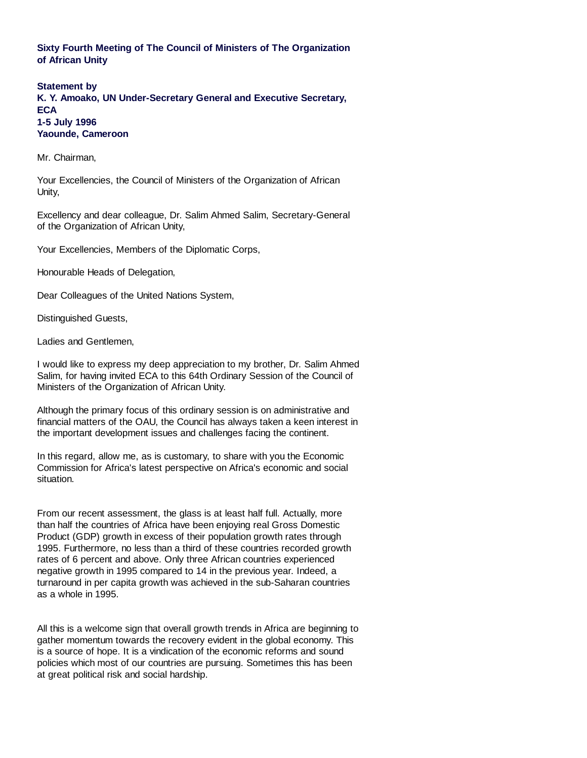## **Sixty Fourth Meeting of The Council of Ministers of The Organization of African Unity**

**Statement by K. Y. Amoako, UN Under-Secretary General and Executive Secretary, ECA 1-5 July 1996 Yaounde, Cameroon**

Mr. Chairman,

Your Excellencies, the Council of Ministers of the Organization of African Unity,

Excellency and dear colleague, Dr. Salim Ahmed Salim, Secretary-General of the Organization of African Unity,

Your Excellencies, Members of the Diplomatic Corps,

Honourable Heads of Delegation,

Dear Colleagues of the United Nations System,

Distinguished Guests,

Ladies and Gentlemen,

I would like to express my deep appreciation to my brother, Dr. Salim Ahmed Salim, for having invited ECA to this 64th Ordinary Session of the Council of Ministers of the Organization of African Unity.

Although the primary focus of this ordinary session is on administrative and financial matters of the OAU, the Council has always taken a keen interest in the important development issues and challenges facing the continent.

In this regard, allow me, as is customary, to share with you the Economic Commission for Africa's latest perspective on Africa's economic and social situation.

From our recent assessment, the glass is at least half full. Actually, more than half the countries of Africa have been enjoying real Gross Domestic Product (GDP) growth in excess of their population growth rates through 1995. Furthermore, no less than a third of these countries recorded growth rates of 6 percent and above. Only three African countries experienced negative growth in 1995 compared to 14 in the previous year. Indeed, a turnaround in per capita growth was achieved in the sub-Saharan countries as a whole in 1995.

All this is a welcome sign that overall growth trends in Africa are beginning to gather momentum towards the recovery evident in the global economy. This is a source of hope. It is a vindication of the economic reforms and sound policies which most of our countries are pursuing. Sometimes this has been at great political risk and social hardship.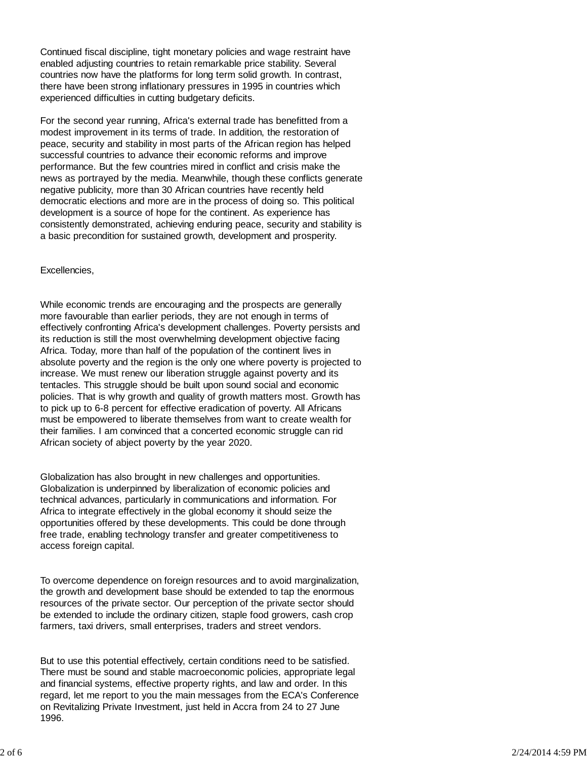Continued fiscal discipline, tight monetary policies and wage restraint have enabled adjusting countries to retain remarkable price stability. Several countries now have the platforms for long term solid growth. In contrast, there have been strong inflationary pressures in 1995 in countries which experienced difficulties in cutting budgetary deficits.

For the second year running, Africa's external trade has benefitted from a modest improvement in its terms of trade. In addition, the restoration of peace, security and stability in most parts of the African region has helped successful countries to advance their economic reforms and improve performance. But the few countries mired in conflict and crisis make the news as portrayed by the media. Meanwhile, though these conflicts generate negative publicity, more than 30 African countries have recently held democratic elections and more are in the process of doing so. This political development is a source of hope for the continent. As experience has consistently demonstrated, achieving enduring peace, security and stability is a basic precondition for sustained growth, development and prosperity.

## Excellencies,

While economic trends are encouraging and the prospects are generally more favourable than earlier periods, they are not enough in terms of effectively confronting Africa's development challenges. Poverty persists and its reduction is still the most overwhelming development objective facing Africa. Today, more than half of the population of the continent lives in absolute poverty and the region is the only one where poverty is projected to increase. We must renew our liberation struggle against poverty and its tentacles. This struggle should be built upon sound social and economic policies. That is why growth and quality of growth matters most. Growth has to pick up to 6-8 percent for effective eradication of poverty. All Africans must be empowered to liberate themselves from want to create wealth for their families. I am convinced that a concerted economic struggle can rid African society of abject poverty by the year 2020.

Globalization has also brought in new challenges and opportunities. Globalization is underpinned by liberalization of economic policies and technical advances, particularly in communications and information. For Africa to integrate effectively in the global economy it should seize the opportunities offered by these developments. This could be done through free trade, enabling technology transfer and greater competitiveness to access foreign capital.

To overcome dependence on foreign resources and to avoid marginalization, the growth and development base should be extended to tap the enormous resources of the private sector. Our perception of the private sector should be extended to include the ordinary citizen, staple food growers, cash crop farmers, taxi drivers, small enterprises, traders and street vendors.

But to use this potential effectively, certain conditions need to be satisfied. There must be sound and stable macroeconomic policies, appropriate legal and financial systems, effective property rights, and law and order. In this regard, let me report to you the main messages from the ECA's Conference on Revitalizing Private Investment, just held in Accra from 24 to 27 June 1996.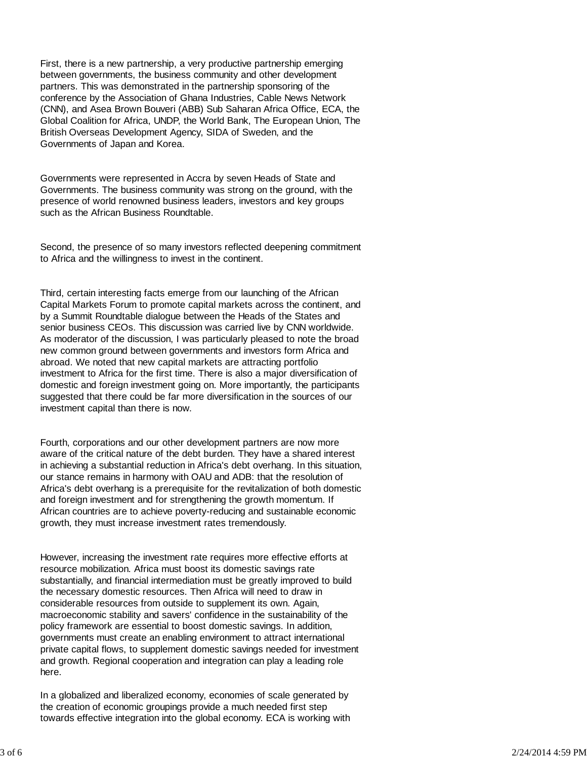First, there is a new partnership, a very productive partnership emerging between governments, the business community and other development partners. This was demonstrated in the partnership sponsoring of the conference by the Association of Ghana Industries, Cable News Network (CNN), and Asea Brown Bouveri (ABB) Sub Saharan Africa Office, ECA, the Global Coalition for Africa, UNDP, the World Bank, The European Union, The British Overseas Development Agency, SIDA of Sweden, and the Governments of Japan and Korea.

Governments were represented in Accra by seven Heads of State and Governments. The business community was strong on the ground, with the presence of world renowned business leaders, investors and key groups such as the African Business Roundtable.

Second, the presence of so many investors reflected deepening commitment to Africa and the willingness to invest in the continent.

Third, certain interesting facts emerge from our launching of the African Capital Markets Forum to promote capital markets across the continent, and by a Summit Roundtable dialogue between the Heads of the States and senior business CEOs. This discussion was carried live by CNN worldwide. As moderator of the discussion, I was particularly pleased to note the broad new common ground between governments and investors form Africa and abroad. We noted that new capital markets are attracting portfolio investment to Africa for the first time. There is also a major diversification of domestic and foreign investment going on. More importantly, the participants suggested that there could be far more diversification in the sources of our investment capital than there is now.

Fourth, corporations and our other development partners are now more aware of the critical nature of the debt burden. They have a shared interest in achieving a substantial reduction in Africa's debt overhang. In this situation, our stance remains in harmony with OAU and ADB: that the resolution of Africa's debt overhang is a prerequisite for the revitalization of both domestic and foreign investment and for strengthening the growth momentum. If African countries are to achieve poverty-reducing and sustainable economic growth, they must increase investment rates tremendously.

However, increasing the investment rate requires more effective efforts at resource mobilization. Africa must boost its domestic savings rate substantially, and financial intermediation must be greatly improved to build the necessary domestic resources. Then Africa will need to draw in considerable resources from outside to supplement its own. Again, macroeconomic stability and savers' confidence in the sustainability of the policy framework are essential to boost domestic savings. In addition, governments must create an enabling environment to attract international private capital flows, to supplement domestic savings needed for investment and growth. Regional cooperation and integration can play a leading role here.

In a globalized and liberalized economy, economies of scale generated by the creation of economic groupings provide a much needed first step towards effective integration into the global economy. ECA is working with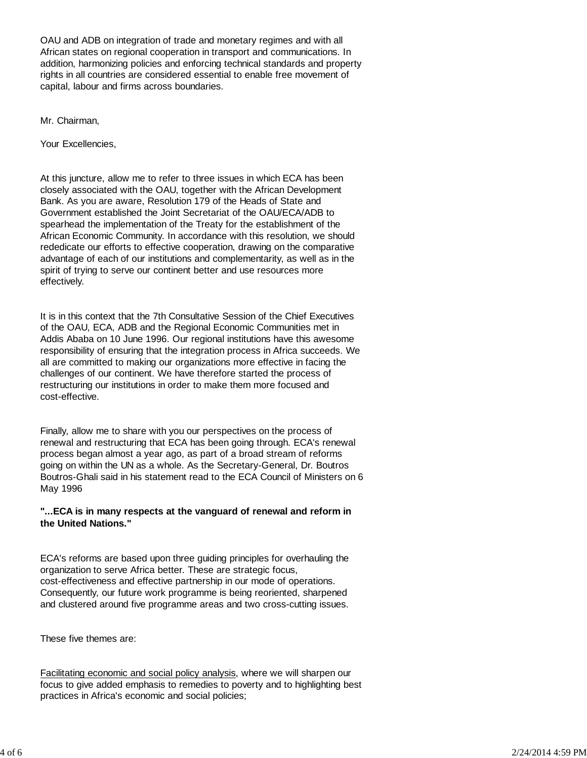OAU and ADB on integration of trade and monetary regimes and with all African states on regional cooperation in transport and communications. In addition, harmonizing policies and enforcing technical standards and property rights in all countries are considered essential to enable free movement of capital, labour and firms across boundaries.

Mr. Chairman,

Your Excellencies,

At this juncture, allow me to refer to three issues in which ECA has been closely associated with the OAU, together with the African Development Bank. As you are aware, Resolution 179 of the Heads of State and Government established the Joint Secretariat of the OAU/ECA/ADB to spearhead the implementation of the Treaty for the establishment of the African Economic Community. In accordance with this resolution, we should rededicate our efforts to effective cooperation, drawing on the comparative advantage of each of our institutions and complementarity, as well as in the spirit of trying to serve our continent better and use resources more effectively.

It is in this context that the 7th Consultative Session of the Chief Executives of the OAU, ECA, ADB and the Regional Economic Communities met in Addis Ababa on 10 June 1996. Our regional institutions have this awesome responsibility of ensuring that the integration process in Africa succeeds. We all are committed to making our organizations more effective in facing the challenges of our continent. We have therefore started the process of restructuring our institutions in order to make them more focused and cost-effective.

Finally, allow me to share with you our perspectives on the process of renewal and restructuring that ECA has been going through. ECA's renewal process began almost a year ago, as part of a broad stream of reforms going on within the UN as a whole. As the Secretary-General, Dr. Boutros Boutros-Ghali said in his statement read to the ECA Council of Ministers on 6 May 1996

## **"...ECA is in many respects at the vanguard of renewal and reform in the United Nations."**

ECA's reforms are based upon three guiding principles for overhauling the organization to serve Africa better. These are strategic focus, cost-effectiveness and effective partnership in our mode of operations. Consequently, our future work programme is being reoriented, sharpened and clustered around five programme areas and two cross-cutting issues.

These five themes are:

Facilitating economic and social policy analysis, where we will sharpen our focus to give added emphasis to remedies to poverty and to highlighting best practices in Africa's economic and social policies;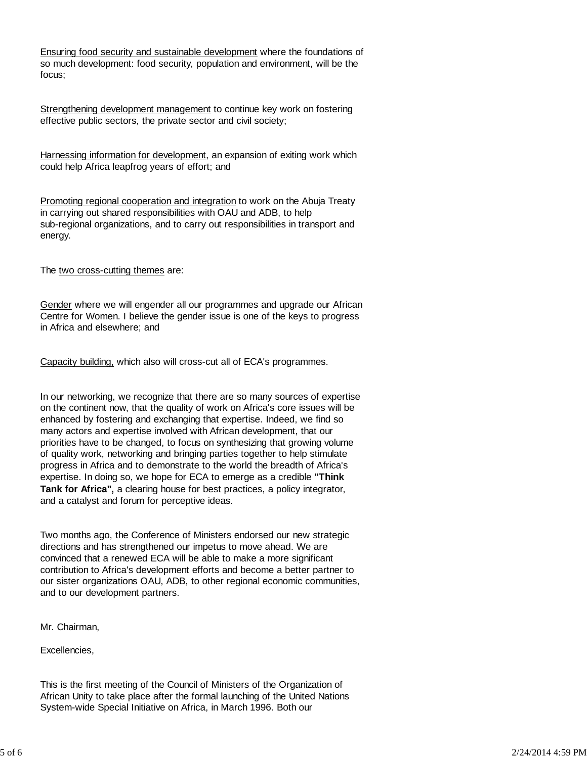Ensuring food security and sustainable development where the foundations of so much development: food security, population and environment, will be the focus;

Strengthening development management to continue key work on fostering effective public sectors, the private sector and civil society;

Harnessing information for development, an expansion of exiting work which could help Africa leapfrog years of effort; and

Promoting regional cooperation and integration to work on the Abuja Treaty in carrying out shared responsibilities with OAU and ADB, to help sub-regional organizations, and to carry out responsibilities in transport and energy.

The two cross-cutting themes are:

Gender where we will engender all our programmes and upgrade our African Centre for Women. I believe the gender issue is one of the keys to progress in Africa and elsewhere; and

Capacity building, which also will cross-cut all of ECA's programmes.

In our networking, we recognize that there are so many sources of expertise on the continent now, that the quality of work on Africa's core issues will be enhanced by fostering and exchanging that expertise. Indeed, we find so many actors and expertise involved with African development, that our priorities have to be changed, to focus on synthesizing that growing volume of quality work, networking and bringing parties together to help stimulate progress in Africa and to demonstrate to the world the breadth of Africa's expertise. In doing so, we hope for ECA to emerge as a credible **"Think Tank for Africa",** a clearing house for best practices, a policy integrator, and a catalyst and forum for perceptive ideas.

Two months ago, the Conference of Ministers endorsed our new strategic directions and has strengthened our impetus to move ahead. We are convinced that a renewed ECA will be able to make a more significant contribution to Africa's development efforts and become a better partner to our sister organizations OAU, ADB, to other regional economic communities, and to our development partners.

Mr. Chairman,

Excellencies,

This is the first meeting of the Council of Ministers of the Organization of African Unity to take place after the formal launching of the United Nations System-wide Special Initiative on Africa, in March 1996. Both our